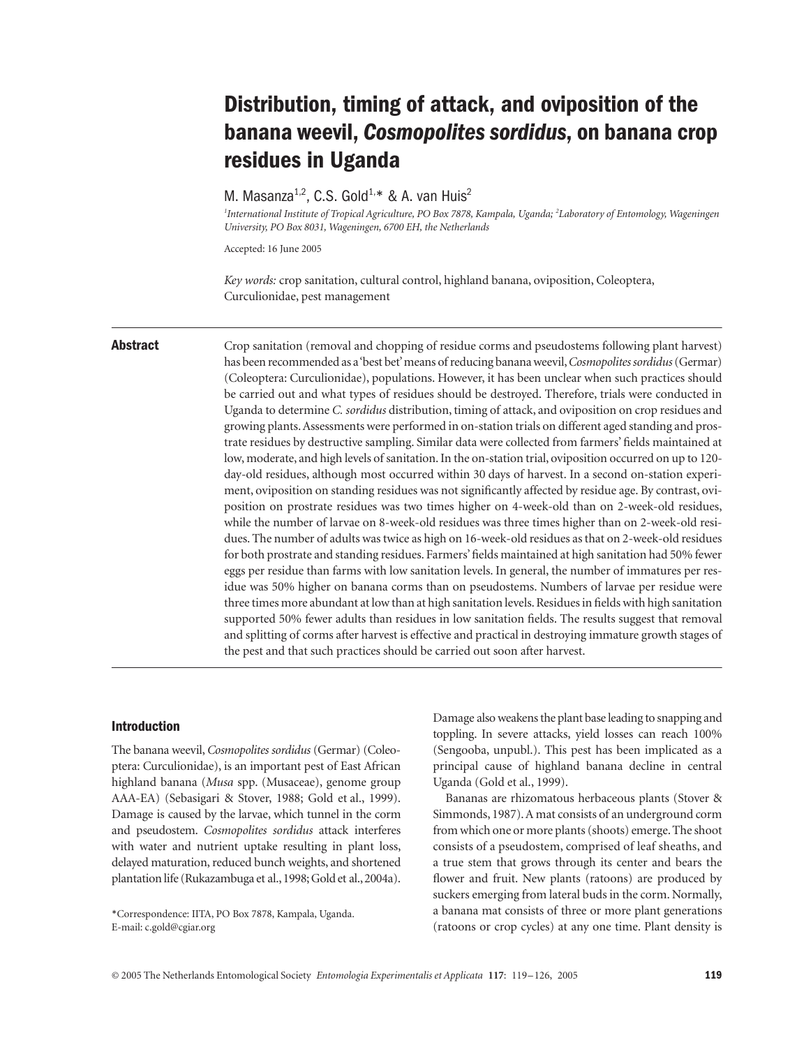# Distribution, timing of attack, and oviposition of the banana weevil, *Cosmopolites sordidus*, on banana crop residues in Uganda

M. Masanza<sup>1,2</sup>, C.S. Gold<sup>1,\*</sup> & A. van Huis<sup>2</sup>

<sup>1</sup>International Institute of Tropical Agriculture, PO Box 7878, Kampala, Uganda; <sup>2</sup>Laboratory of Entomology, Wageningen *University, PO Box 8031, Wageningen, 6700 EH, the Netherlands* 

Accepted: 16 June 2005

*Key words:* crop sanitation, cultural control, highland banana, oviposition, Coleoptera, Curculionidae, pest management

**Abstract** Crop sanitation (removal and chopping of residue corms and pseudostems following plant harvest) has been recommended as a 'best bet' means of reducing banana weevil, *Cosmopolites sordidus*(Germar) (Coleoptera: Curculionidae), populations. However, it has been unclear when such practices should be carried out and what types of residues should be destroyed. Therefore, trials were conducted in Uganda to determine *C. sordidus* distribution, timing of attack, and oviposition on crop residues and growing plants. Assessments were performed in on-station trials on different aged standing and prostrate residues by destructive sampling. Similar data were collected from farmers' fields maintained at low, moderate, and high levels of sanitation. In the on-station trial, oviposition occurred on up to 120 day-old residues, although most occurred within 30 days of harvest. In a second on-station experiment, oviposition on standing residues was not significantly affected by residue age. By contrast, oviposition on prostrate residues was two times higher on 4-week-old than on 2-week-old residues, while the number of larvae on 8-week-old residues was three times higher than on 2-week-old residues. The number of adults was twice as high on 16-week-old residues as that on 2-week-old residues for both prostrate and standing residues. Farmers' fields maintained at high sanitation had 50% fewer eggs per residue than farms with low sanitation levels. In general, the number of immatures per residue was 50% higher on banana corms than on pseudostems. Numbers of larvae per residue were three times more abundant at low than at high sanitation levels. Residues in fields with high sanitation supported 50% fewer adults than residues in low sanitation fields. The results suggest that removal and splitting of corms after harvest is effective and practical in destroying immature growth stages of the pest and that such practices should be carried out soon after harvest.

### Introduction

The banana weevil, *Cosmopolites sordidus* (Germar) (Coleoptera: Curculionidae), is an important pest of East African highland banana (*Musa* spp. (Musaceae), genome group AAA-EA) (Sebasigari & Stover, 1988; Gold et al., 1999). Damage is caused by the larvae, which tunnel in the corm and pseudostem. *Cosmopolites sordidus* attack interferes with water and nutrient uptake resulting in plant loss, delayed maturation, reduced bunch weights, and shortened plantation life (Rukazambuga et al., 1998; Gold et al., 2004a).

\*Correspondence: IITA, PO Box 7878, Kampala, Uganda. E-mail: c.gold@cgiar.org

Damage also weakens the plant base leading to snapping and toppling. In severe attacks, yield losses can reach 100% (Sengooba, unpubl.). This pest has been implicated as a principal cause of highland banana decline in central Uganda (Gold et al., 1999).

Bananas are rhizomatous herbaceous plants (Stover & Simmonds, 1987). A mat consists of an underground corm from which one or more plants (shoots) emerge. The shoot consists of a pseudostem, comprised of leaf sheaths, and a true stem that grows through its center and bears the flower and fruit. New plants (ratoons) are produced by suckers emerging from lateral buds in the corm. Normally, a banana mat consists of three or more plant generations (ratoons or crop cycles) at any one time. Plant density is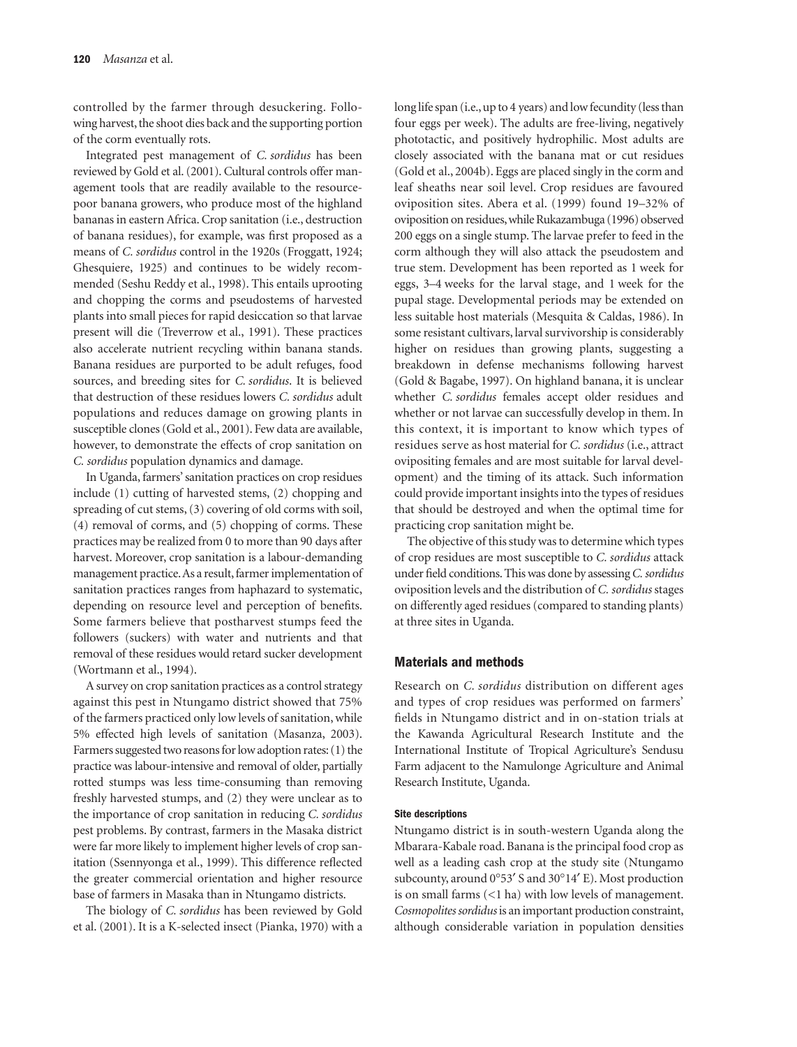controlled by the farmer through desuckering. Following harvest, the shoot dies back and the supporting portion of the corm eventually rots.

Integrated pest management of *C. sordidus* has been reviewed by Gold et al. (2001). Cultural controls offer management tools that are readily available to the resourcepoor banana growers, who produce most of the highland bananas in eastern Africa. Crop sanitation (i.e., destruction of banana residues), for example, was first proposed as a means of *C. sordidus* control in the 1920s (Froggatt, 1924; Ghesquiere, 1925) and continues to be widely recommended (Seshu Reddy et al., 1998). This entails uprooting and chopping the corms and pseudostems of harvested plants into small pieces for rapid desiccation so that larvae present will die (Treverrow et al., 1991). These practices also accelerate nutrient recycling within banana stands. Banana residues are purported to be adult refuges, food sources, and breeding sites for *C. sordidus*. It is believed that destruction of these residues lowers *C. sordidus* adult populations and reduces damage on growing plants in susceptible clones (Gold et al., 2001). Few data are available, however, to demonstrate the effects of crop sanitation on *C. sordidus* population dynamics and damage.

In Uganda, farmers' sanitation practices on crop residues include (1) cutting of harvested stems, (2) chopping and spreading of cut stems, (3) covering of old corms with soil, (4) removal of corms, and (5) chopping of corms. These practices may be realized from 0 to more than 90 days after harvest. Moreover, crop sanitation is a labour-demanding management practice. As a result, farmer implementation of sanitation practices ranges from haphazard to systematic, depending on resource level and perception of benefits. Some farmers believe that postharvest stumps feed the followers (suckers) with water and nutrients and that removal of these residues would retard sucker development (Wortmann et al., 1994).

A survey on crop sanitation practices as a control strategy against this pest in Ntungamo district showed that 75% of the farmers practiced only low levels of sanitation, while 5% effected high levels of sanitation (Masanza, 2003). Farmers suggested two reasons for low adoption rates: (1) the practice was labour-intensive and removal of older, partially rotted stumps was less time-consuming than removing freshly harvested stumps, and (2) they were unclear as to the importance of crop sanitation in reducing *C. sordidus* pest problems. By contrast, farmers in the Masaka district were far more likely to implement higher levels of crop sanitation (Ssennyonga et al., 1999). This difference reflected the greater commercial orientation and higher resource base of farmers in Masaka than in Ntungamo districts.

The biology of *C. sordidus* has been reviewed by Gold et al. (2001). It is a K-selected insect (Pianka, 1970) with a long life span (i.e., up to 4 years) and low fecundity (less than four eggs per week). The adults are free-living, negatively phototactic, and positively hydrophilic. Most adults are closely associated with the banana mat or cut residues (Gold et al., 2004b). Eggs are placed singly in the corm and leaf sheaths near soil level. Crop residues are favoured oviposition sites. Abera et al. (1999) found 19–32% of oviposition on residues, while Rukazambuga (1996) observed 200 eggs on a single stump. The larvae prefer to feed in the corm although they will also attack the pseudostem and true stem. Development has been reported as 1 week for eggs, 3–4 weeks for the larval stage, and 1 week for the pupal stage. Developmental periods may be extended on less suitable host materials (Mesquita & Caldas, 1986). In some resistant cultivars, larval survivorship is considerably higher on residues than growing plants, suggesting a breakdown in defense mechanisms following harvest (Gold & Bagabe, 1997). On highland banana, it is unclear whether *C. sordidus* females accept older residues and whether or not larvae can successfully develop in them. In this context, it is important to know which types of residues serve as host material for *C. sordidus* (i.e., attract ovipositing females and are most suitable for larval development) and the timing of its attack. Such information could provide important insights into the types of residues that should be destroyed and when the optimal time for practicing crop sanitation might be.

The objective of this study was to determine which types of crop residues are most susceptible to *C. sordidus* attack under field conditions. This was done by assessing *C. sordidus* oviposition levels and the distribution of *C. sordidus*stages on differently aged residues (compared to standing plants) at three sites in Uganda.

#### Materials and methods

Research on *C. sordidus* distribution on different ages and types of crop residues was performed on farmers' fields in Ntungamo district and in on-station trials at the Kawanda Agricultural Research Institute and the International Institute of Tropical Agriculture's Sendusu Farm adjacent to the Namulonge Agriculture and Animal Research Institute, Uganda.

#### Site descriptions

Ntungamo district is in south-western Uganda along the Mbarara-Kabale road. Banana is the principal food crop as well as a leading cash crop at the study site (Ntungamo subcounty, around 0°53′ S and 30°14′ E). Most production is on small farms (<1 ha) with low levels of management. *Cosmopolites sordidus*is an important production constraint, although considerable variation in population densities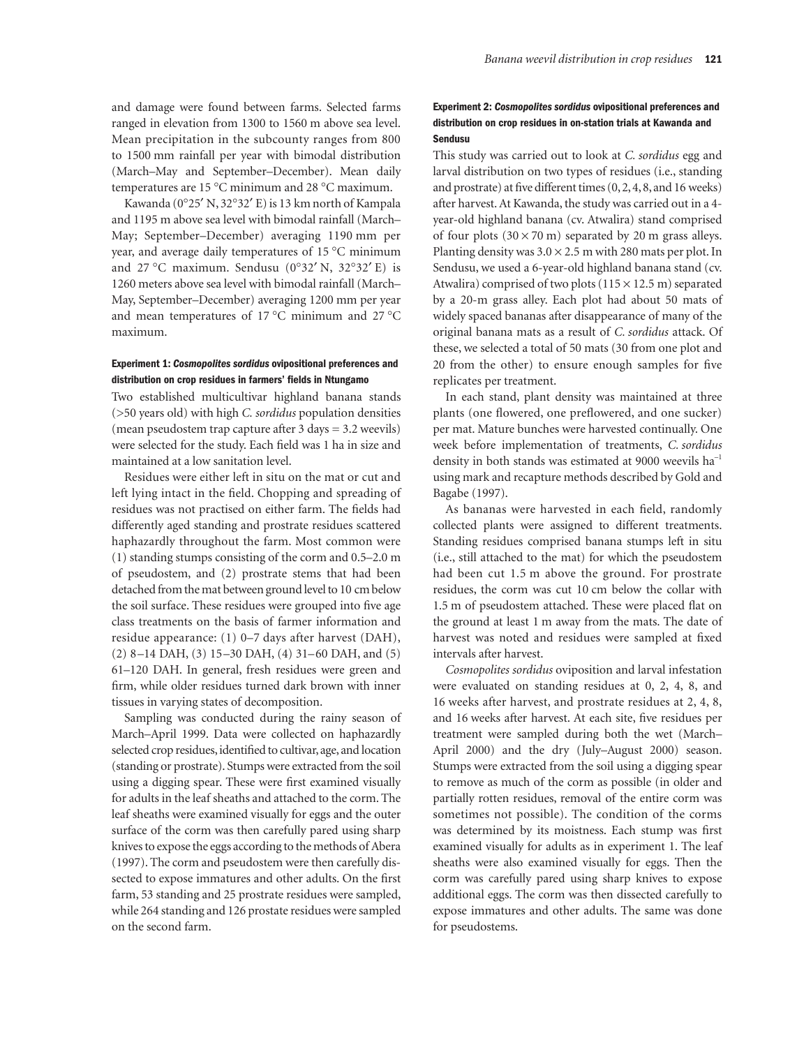and damage were found between farms. Selected farms ranged in elevation from 1300 to 1560 m above sea level. Mean precipitation in the subcounty ranges from 800 to 1500 mm rainfall per year with bimodal distribution (March–May and September–December). Mean daily temperatures are 15 °C minimum and 28 °C maximum.

Kawanda (0°25′ N, 32°32′ E) is 13 km north of Kampala and 1195 m above sea level with bimodal rainfall (March– May; September–December) averaging 1190 mm per year, and average daily temperatures of 15 °C minimum and 27 °C maximum. Sendusu (0°32′ N, 32°32′ E) is 1260 meters above sea level with bimodal rainfall (March– May, September–December) averaging 1200 mm per year and mean temperatures of 17 °C minimum and 27 °C maximum.

#### Experiment 1: *Cosmopolites sordidus* ovipositional preferences and distribution on crop residues in farmers' fields in Ntungamo

Two established multicultivar highland banana stands (>50 years old) with high *C. sordidus* population densities (mean pseudostem trap capture after 3 days = 3.2 weevils) were selected for the study. Each field was 1 ha in size and maintained at a low sanitation level.

Residues were either left in situ on the mat or cut and left lying intact in the field. Chopping and spreading of residues was not practised on either farm. The fields had differently aged standing and prostrate residues scattered haphazardly throughout the farm. Most common were (1) standing stumps consisting of the corm and 0.5–2.0 m of pseudostem, and (2) prostrate stems that had been detached from the mat between ground level to 10 cm below the soil surface. These residues were grouped into five age class treatments on the basis of farmer information and residue appearance: (1) 0–7 days after harvest (DAH), (2) 8–14 DAH, (3) 15–30 DAH, (4) 31–60 DAH, and (5) 61–120 DAH. In general, fresh residues were green and firm, while older residues turned dark brown with inner tissues in varying states of decomposition.

Sampling was conducted during the rainy season of March–April 1999. Data were collected on haphazardly selected crop residues, identified to cultivar, age, and location (standing or prostrate). Stumps were extracted from the soil using a digging spear. These were first examined visually for adults in the leaf sheaths and attached to the corm. The leaf sheaths were examined visually for eggs and the outer surface of the corm was then carefully pared using sharp knives to expose the eggs according to the methods of Abera (1997). The corm and pseudostem were then carefully dissected to expose immatures and other adults. On the first farm, 53 standing and 25 prostrate residues were sampled, while 264 standing and 126 prostate residues were sampled on the second farm.

# Experiment 2: *Cosmopolites sordidus* ovipositional preferences and distribution on crop residues in on-station trials at Kawanda and Sendusu

This study was carried out to look at *C. sordidus* egg and larval distribution on two types of residues (i.e., standing and prostrate) at five different times (0, 2, 4, 8, and 16 weeks) after harvest. At Kawanda, the study was carried out in a 4 year-old highland banana (cv. Atwalira) stand comprised of four plots  $(30 \times 70 \text{ m})$  separated by 20 m grass alleys. Planting density was  $3.0 \times 2.5$  m with 280 mats per plot. In Sendusu, we used a 6-year-old highland banana stand (cv. Atwalira) comprised of two plots  $(115 \times 12.5 \text{ m})$  separated by a 20-m grass alley. Each plot had about 50 mats of widely spaced bananas after disappearance of many of the original banana mats as a result of *C. sordidus* attack. Of these, we selected a total of 50 mats (30 from one plot and 20 from the other) to ensure enough samples for five replicates per treatment.

In each stand, plant density was maintained at three plants (one flowered, one preflowered, and one sucker) per mat. Mature bunches were harvested continually. One week before implementation of treatments, *C. sordidus* density in both stands was estimated at 9000 weevils ha–1 using mark and recapture methods described by Gold and Bagabe (1997).

As bananas were harvested in each field, randomly collected plants were assigned to different treatments. Standing residues comprised banana stumps left in situ (i.e., still attached to the mat) for which the pseudostem had been cut 1.5 m above the ground. For prostrate residues, the corm was cut 10 cm below the collar with 1.5 m of pseudostem attached. These were placed flat on the ground at least 1 m away from the mats. The date of harvest was noted and residues were sampled at fixed intervals after harvest.

*Cosmopolites sordidus* oviposition and larval infestation were evaluated on standing residues at 0, 2, 4, 8, and 16 weeks after harvest, and prostrate residues at 2, 4, 8, and 16 weeks after harvest. At each site, five residues per treatment were sampled during both the wet (March– April 2000) and the dry (July–August 2000) season. Stumps were extracted from the soil using a digging spear to remove as much of the corm as possible (in older and partially rotten residues, removal of the entire corm was sometimes not possible). The condition of the corms was determined by its moistness. Each stump was first examined visually for adults as in experiment 1. The leaf sheaths were also examined visually for eggs. Then the corm was carefully pared using sharp knives to expose additional eggs. The corm was then dissected carefully to expose immatures and other adults. The same was done for pseudostems.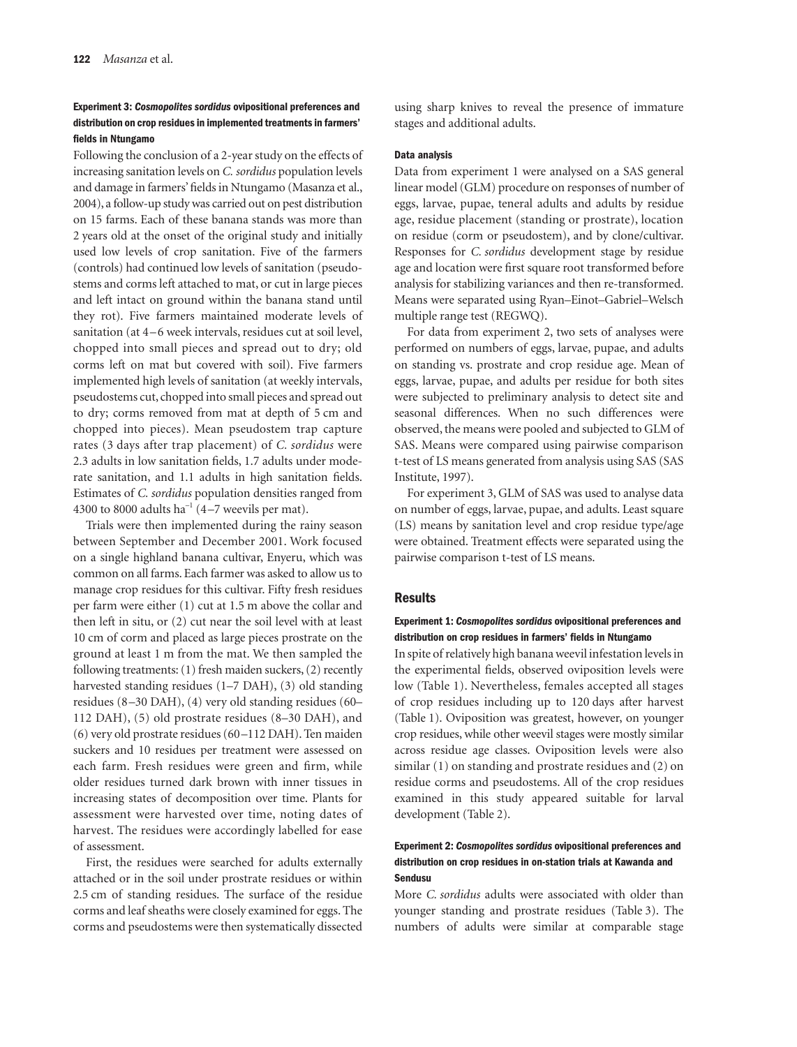# Experiment 3: *Cosmopolites sordidus* ovipositional preferences and distribution on crop residues in implemented treatments in farmers' fields in Ntungamo

Following the conclusion of a 2-year study on the effects of increasing sanitation levels on *C. sordidus* population levels and damage in farmers' fields in Ntungamo (Masanza et al., 2004), a follow-up study was carried out on pest distribution on 15 farms. Each of these banana stands was more than 2 years old at the onset of the original study and initially used low levels of crop sanitation. Five of the farmers (controls) had continued low levels of sanitation (pseudostems and corms left attached to mat, or cut in large pieces and left intact on ground within the banana stand until they rot). Five farmers maintained moderate levels of sanitation (at 4–6 week intervals, residues cut at soil level, chopped into small pieces and spread out to dry; old corms left on mat but covered with soil). Five farmers implemented high levels of sanitation (at weekly intervals, pseudostems cut, chopped into small pieces and spread out to dry; corms removed from mat at depth of 5 cm and chopped into pieces). Mean pseudostem trap capture rates (3 days after trap placement) of *C. sordidus* were 2.3 adults in low sanitation fields, 1.7 adults under moderate sanitation, and 1.1 adults in high sanitation fields. Estimates of *C. sordidus* population densities ranged from 4300 to 8000 adults ha<sup>-1</sup> (4-7 weevils per mat).

Trials were then implemented during the rainy season between September and December 2001. Work focused on a single highland banana cultivar, Enyeru, which was common on all farms. Each farmer was asked to allow us to manage crop residues for this cultivar. Fifty fresh residues per farm were either (1) cut at 1.5 m above the collar and then left in situ, or (2) cut near the soil level with at least 10 cm of corm and placed as large pieces prostrate on the ground at least 1 m from the mat. We then sampled the following treatments: (1) fresh maiden suckers, (2) recently harvested standing residues (1–7 DAH), (3) old standing residues (8–30 DAH), (4) very old standing residues (60– 112 DAH), (5) old prostrate residues (8–30 DAH), and (6) very old prostrate residues (60–112 DAH). Ten maiden suckers and 10 residues per treatment were assessed on each farm. Fresh residues were green and firm, while older residues turned dark brown with inner tissues in increasing states of decomposition over time. Plants for assessment were harvested over time, noting dates of harvest. The residues were accordingly labelled for ease of assessment.

First, the residues were searched for adults externally attached or in the soil under prostrate residues or within 2.5 cm of standing residues. The surface of the residue corms and leaf sheaths were closely examined for eggs. The corms and pseudostems were then systematically dissected using sharp knives to reveal the presence of immature stages and additional adults.

### Data analysis

Data from experiment 1 were analysed on a SAS general linear model (GLM) procedure on responses of number of eggs, larvae, pupae, teneral adults and adults by residue age, residue placement (standing or prostrate), location on residue (corm or pseudostem), and by clone/cultivar. Responses for *C. sordidus* development stage by residue age and location were first square root transformed before analysis for stabilizing variances and then re-transformed. Means were separated using Ryan–Einot–Gabriel–Welsch multiple range test (REGWQ).

For data from experiment 2, two sets of analyses were performed on numbers of eggs, larvae, pupae, and adults on standing vs. prostrate and crop residue age. Mean of eggs, larvae, pupae, and adults per residue for both sites were subjected to preliminary analysis to detect site and seasonal differences. When no such differences were observed, the means were pooled and subjected to GLM of SAS. Means were compared using pairwise comparison t-test of LS means generated from analysis using SAS (SAS Institute, 1997).

For experiment 3, GLM of SAS was used to analyse data on number of eggs, larvae, pupae, and adults. Least square (LS) means by sanitation level and crop residue type/age were obtained. Treatment effects were separated using the pairwise comparison t-test of LS means.

#### Results

# Experiment 1: *Cosmopolites sordidus* ovipositional preferences and distribution on crop residues in farmers' fields in Ntungamo

In spite of relatively high banana weevil infestation levels in the experimental fields, observed oviposition levels were low (Table 1). Nevertheless, females accepted all stages of crop residues including up to 120 days after harvest (Table 1). Oviposition was greatest, however, on younger crop residues, while other weevil stages were mostly similar across residue age classes. Oviposition levels were also similar (1) on standing and prostrate residues and (2) on residue corms and pseudostems. All of the crop residues examined in this study appeared suitable for larval development (Table 2).

# Experiment 2: *Cosmopolites sordidus* ovipositional preferences and distribution on crop residues in on-station trials at Kawanda and Sendusu

More *C. sordidus* adults were associated with older than younger standing and prostrate residues (Table 3). The numbers of adults were similar at comparable stage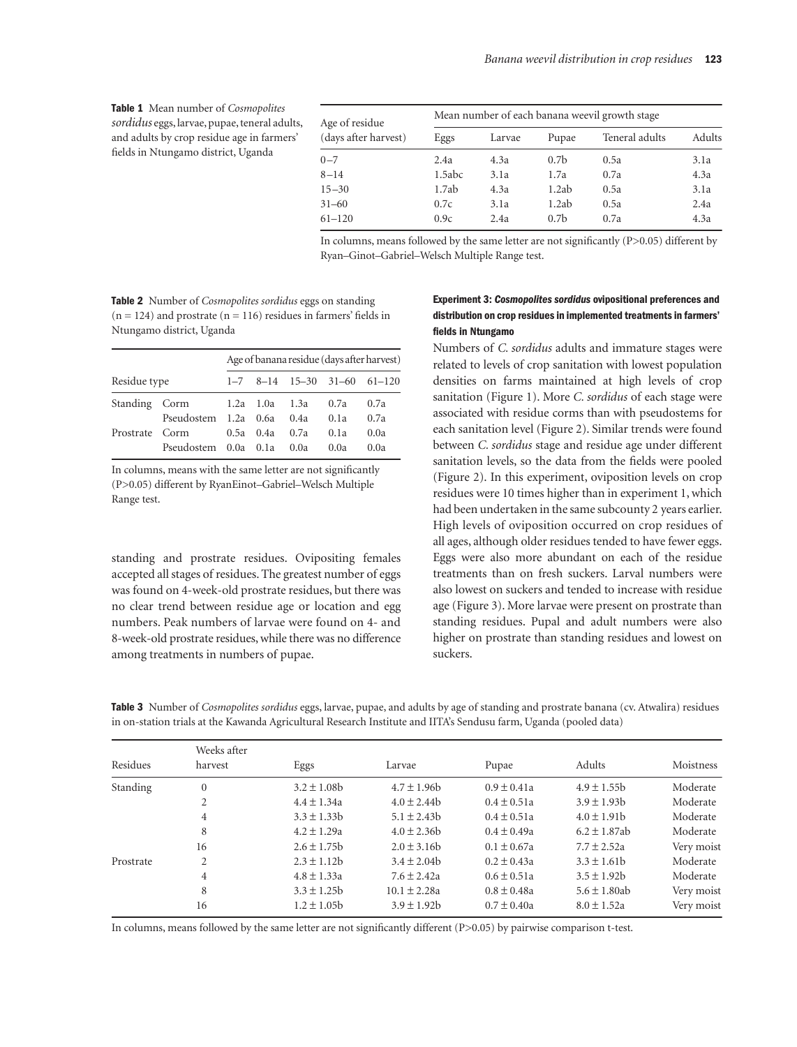Table 1 Mean number of *Cosmopolites sordidus* eggs, larvae, pupae, teneral adults, and adults by crop residue age in farmers' fields in Ntungamo district, Uganda

| Age of residue       | Mean number of each banana weevil growth stage |        |                  |                |        |  |  |
|----------------------|------------------------------------------------|--------|------------------|----------------|--------|--|--|
| (days after harvest) | Eggs                                           | Larvae | Pupae            | Teneral adults | Adults |  |  |
| $0 - 7$              | 2.4a                                           | 4.3a   | 0.7 <sub>b</sub> | 0.5a           | 3.1a   |  |  |
| $8 - 14$             | 1.5abc                                         | 3.1a   | 1.7a             | 0.7a           | 4.3a   |  |  |
| $15 - 30$            | 1.7ab                                          | 4.3a   | 1.2ab            | 0.5a           | 3.1a   |  |  |
| $31 - 60$            | 0.7c                                           | 3.1a   | 1.2ab            | 0.5a           | 2.4a   |  |  |
| $61 - 120$           | 0.9c                                           | 2.4a   | 0.7 <sub>b</sub> | 0.7a           | 4.3a   |  |  |

In columns, means followed by the same letter are not significantly (P>0.05) different by Ryan–Ginot–Gabriel–Welsch Multiple Range test.

Table 2 Number of *Cosmopolites sordidus* eggs on standing  $(n = 124)$  and prostrate  $(n = 116)$  residues in farmers' fields in Ntungamo district, Uganda

|                |                      | Age of banana residue (days after harvest) |                |      |      |                               |  |
|----------------|----------------------|--------------------------------------------|----------------|------|------|-------------------------------|--|
| Residue type   |                      |                                            |                |      |      | $1-7$ 8-14 15-30 31-60 61-120 |  |
| Standing Corm  |                      |                                            | 1.2a 1.0a 1.3a |      | 0.7a | 0.7a                          |  |
|                | Pseudostem 1.2a 0.6a |                                            |                | 0.4a | 0.1a | 0.7a                          |  |
| Prostrate Corm |                      |                                            | $0.5a$ $0.4a$  | 0.7a | 0.1a | 0.0a                          |  |
|                | Pseudostem           |                                            | $0.0a$ $0.1a$  | 0.0a | 0.0a | 0.0a                          |  |

In columns, means with the same letter are not significantly (P>0.05) different by RyanEinot–Gabriel–Welsch Multiple Range test.

standing and prostrate residues. Ovipositing females accepted all stages of residues. The greatest number of eggs was found on 4-week-old prostrate residues, but there was no clear trend between residue age or location and egg numbers. Peak numbers of larvae were found on 4- and 8-week-old prostrate residues, while there was no difference among treatments in numbers of pupae.

# Experiment 3: *Cosmopolites sordidus* ovipositional preferences and distribution on crop residues in implemented treatments in farmers' fields in Ntungamo

Numbers of *C. sordidus* adults and immature stages were related to levels of crop sanitation with lowest population densities on farms maintained at high levels of crop sanitation (Figure 1). More *C. sordidus* of each stage were associated with residue corms than with pseudostems for each sanitation level (Figure 2). Similar trends were found between *C. sordidus* stage and residue age under different sanitation levels, so the data from the fields were pooled (Figure 2). In this experiment, oviposition levels on crop residues were 10 times higher than in experiment 1, which had been undertaken in the same subcounty 2 years earlier. High levels of oviposition occurred on crop residues of all ages, although older residues tended to have fewer eggs. Eggs were also more abundant on each of the residue treatments than on fresh suckers. Larval numbers were also lowest on suckers and tended to increase with residue age (Figure 3). More larvae were present on prostrate than standing residues. Pupal and adult numbers were also higher on prostrate than standing residues and lowest on suckers.

Table 3 Number of *Cosmopolites sordidus* eggs, larvae, pupae, and adults by age of standing and prostrate banana (cv. Atwalira) residues in on-station trials at the Kawanda Agricultural Research Institute and IITA's Sendusu farm, Uganda (pooled data)

| Residues  | Weeks after<br>harvest | Eggs            | Larvae           | Pupae           | Adults            | Moistness  |
|-----------|------------------------|-----------------|------------------|-----------------|-------------------|------------|
| Standing  | $\Omega$               | $3.2 \pm 1.08$  | $4.7 \pm 1.96$   | $0.9 \pm 0.41a$ | $4.9 \pm 1.55$ b  | Moderate   |
|           | 2                      | $4.4 \pm 1.34a$ | $4.0 \pm 2.44$   | $0.4 \pm 0.51a$ | $3.9 \pm 1.93$    | Moderate   |
|           | 4                      | $3.3 \pm 1.33b$ | $5.1 \pm 2.43$   | $0.4 \pm 0.51a$ | $4.0 \pm 1.91$    | Moderate   |
|           | 8                      | $4.2 \pm 1.29a$ | $4.0 \pm 2.36$   | $0.4 \pm 0.49a$ | $6.2 \pm 1.87$ ab | Moderate   |
|           | 16                     | $2.6 \pm 1.75$  | $2.0 \pm 3.16$   | $0.1 \pm 0.67a$ | $7.7 \pm 2.52a$   | Very moist |
| Prostrate | $\overline{2}$         | $2.3 \pm 1.12b$ | $3.4 \pm 2.04$   | $0.2 \pm 0.43a$ | $3.3 \pm 1.61$    | Moderate   |
|           | 4                      | $4.8 \pm 1.33a$ | $7.6 \pm 2.42a$  | $0.6 \pm 0.51a$ | $3.5 \pm 1.92$    | Moderate   |
|           | 8                      | $3.3 \pm 1.25$  | $10.1 \pm 2.28a$ | $0.8 \pm 0.48a$ | $5.6 \pm 1.80$ ab | Very moist |
|           | 16                     | $1.2 \pm 1.05$  | $3.9 \pm 1.92 b$ | $0.7 \pm 0.40a$ | $8.0 \pm 1.52a$   | Very moist |

In columns, means followed by the same letter are not significantly different (P>0.05) by pairwise comparison t-test.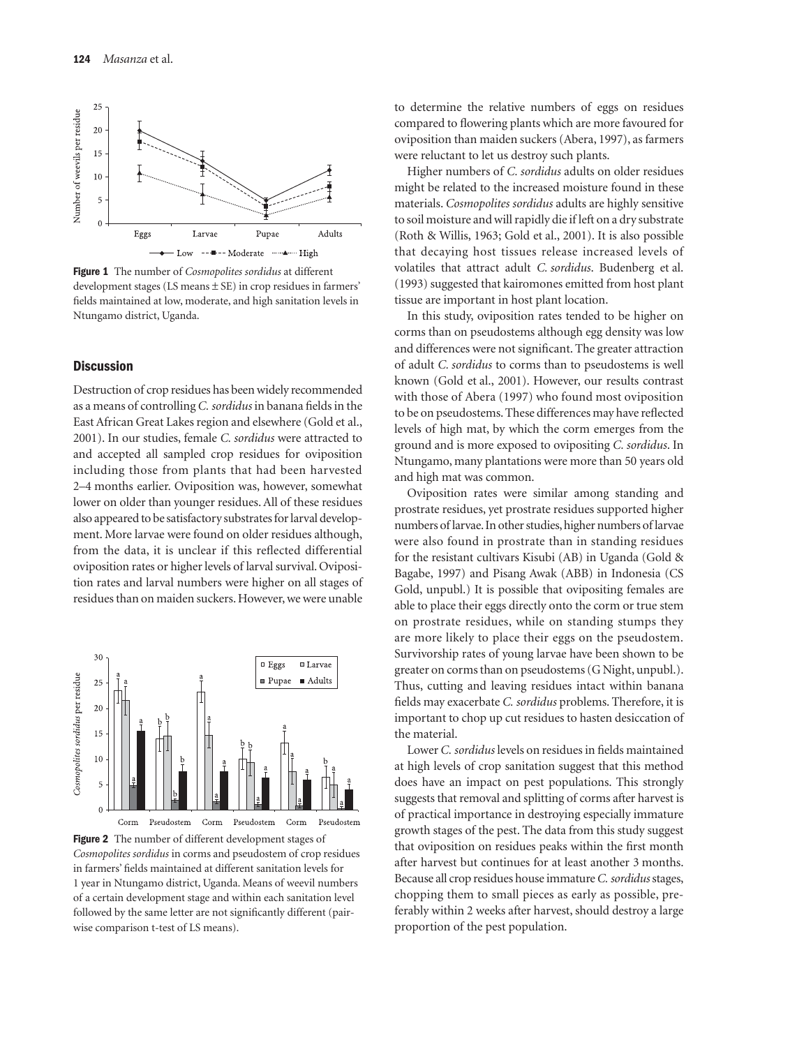

Figure 1 The number of *Cosmopolites sordidus* at different development stages (LS means ± SE) in crop residues in farmers' fields maintained at low, moderate, and high sanitation levels in Ntungamo district, Uganda.

#### **Discussion**

Destruction of crop residues has been widely recommended as a means of controlling *C. sordidus* in banana fields in the East African Great Lakes region and elsewhere (Gold et al., 2001). In our studies, female *C. sordidus* were attracted to and accepted all sampled crop residues for oviposition including those from plants that had been harvested 2–4 months earlier. Oviposition was, however, somewhat lower on older than younger residues. All of these residues also appeared to be satisfactory substrates for larval development. More larvae were found on older residues although, from the data, it is unclear if this reflected differential oviposition rates or higher levels of larval survival. Oviposition rates and larval numbers were higher on all stages of residues than on maiden suckers. However, we were unable



Figure 2 The number of different development stages of *Cosmopolites sordidus* in corms and pseudostem of crop residues in farmers' fields maintained at different sanitation levels for 1 year in Ntungamo district, Uganda. Means of weevil numbers of a certain development stage and within each sanitation level followed by the same letter are not significantly different (pairwise comparison t-test of LS means).

to determine the relative numbers of eggs on residues compared to flowering plants which are more favoured for oviposition than maiden suckers (Abera, 1997), as farmers were reluctant to let us destroy such plants.

Higher numbers of *C. sordidus* adults on older residues might be related to the increased moisture found in these materials. *Cosmopolites sordidus* adults are highly sensitive to soil moisture and will rapidly die if left on a dry substrate (Roth & Willis, 1963; Gold et al., 2001). It is also possible that decaying host tissues release increased levels of volatiles that attract adult *C. sordidus*. Budenberg et al. (1993) suggested that kairomones emitted from host plant tissue are important in host plant location.

In this study, oviposition rates tended to be higher on corms than on pseudostems although egg density was low and differences were not significant. The greater attraction of adult *C. sordidus* to corms than to pseudostems is well known (Gold et al., 2001). However, our results contrast with those of Abera (1997) who found most oviposition to be on pseudostems. These differences may have reflected levels of high mat, by which the corm emerges from the ground and is more exposed to ovipositing *C. sordidus*. In Ntungamo, many plantations were more than 50 years old and high mat was common.

Oviposition rates were similar among standing and prostrate residues, yet prostrate residues supported higher numbers of larvae. In other studies, higher numbers of larvae were also found in prostrate than in standing residues for the resistant cultivars Kisubi (AB) in Uganda (Gold & Bagabe, 1997) and Pisang Awak (ABB) in Indonesia (CS Gold, unpubl.) It is possible that ovipositing females are able to place their eggs directly onto the corm or true stem on prostrate residues, while on standing stumps they are more likely to place their eggs on the pseudostem. Survivorship rates of young larvae have been shown to be greater on corms than on pseudostems (G Night, unpubl.). Thus, cutting and leaving residues intact within banana fields may exacerbate *C. sordidus* problems. Therefore, it is important to chop up cut residues to hasten desiccation of the material.

Lower *C. sordidus* levels on residues in fields maintained at high levels of crop sanitation suggest that this method does have an impact on pest populations. This strongly suggests that removal and splitting of corms after harvest is of practical importance in destroying especially immature growth stages of the pest. The data from this study suggest that oviposition on residues peaks within the first month after harvest but continues for at least another 3 months. Because all crop residues house immature *C. sordidus*stages, chopping them to small pieces as early as possible, preferably within 2 weeks after harvest, should destroy a large proportion of the pest population.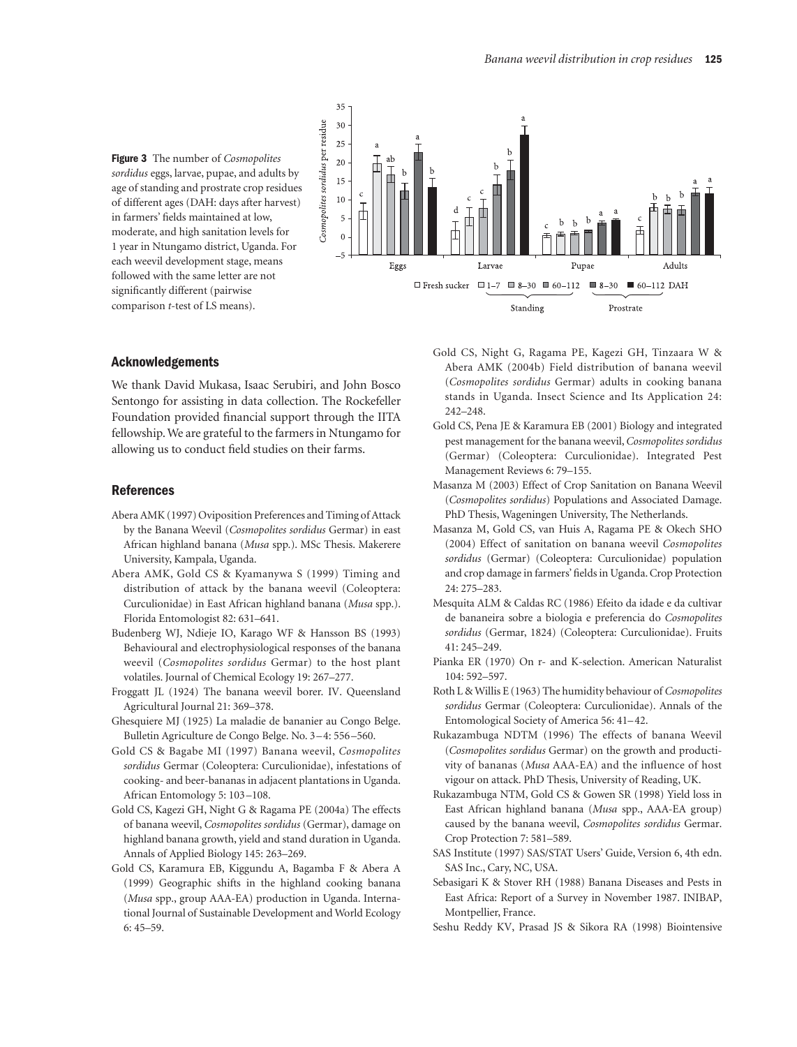

Figure 3 The number of *Cosmopolites sordidus* eggs, larvae, pupae, and adults by age of standing and prostrate crop residues of different ages (DAH: days after harvest) in farmers' fields maintained at low, moderate, and high sanitation levels for 1 year in Ntungamo district, Uganda. For each weevil development stage, means followed with the same letter are not significantly different (pairwise comparison *t*-test of LS means).

#### Acknowledgements

We thank David Mukasa, Isaac Serubiri, and John Bosco Sentongo for assisting in data collection. The Rockefeller Foundation provided financial support through the IITA fellowship. We are grateful to the farmers in Ntungamo for allowing us to conduct field studies on their farms.

#### References

- Abera AMK (1997) Oviposition Preferences and Timing of Attack by the Banana Weevil (*Cosmopolites sordidus* Germar) in east African highland banana (*Musa* spp.). MSc Thesis. Makerere University, Kampala, Uganda.
- Abera AMK, Gold CS & Kyamanywa S (1999) Timing and distribution of attack by the banana weevil (Coleoptera: Curculionidae) in East African highland banana (*Musa* spp.). Florida Entomologist 82: 631–641.
- Budenberg WJ, Ndieje IO, Karago WF & Hansson BS (1993) Behavioural and electrophysiological responses of the banana weevil (*Cosmopolites sordidus* Germar) to the host plant volatiles. Journal of Chemical Ecology 19: 267–277.
- Froggatt JL (1924) The banana weevil borer. IV. Queensland Agricultural Journal 21: 369–378.
- Ghesquiere MJ (1925) La maladie de bananier au Congo Belge. Bulletin Agriculture de Congo Belge. No. 3–4: 556–560.
- Gold CS & Bagabe MI (1997) Banana weevil, *Cosmopolites sordidus* Germar (Coleoptera: Curculionidae), infestations of cooking- and beer-bananas in adjacent plantations in Uganda. African Entomology 5: 103–108.
- Gold CS, Kagezi GH, Night G & Ragama PE (2004a) The effects of banana weevil, *Cosmopolites sordidus* (Germar), damage on highland banana growth, yield and stand duration in Uganda. Annals of Applied Biology 145: 263–269.
- Gold CS, Karamura EB, Kiggundu A, Bagamba F & Abera A (1999) Geographic shifts in the highland cooking banana (*Musa* spp., group AAA-EA) production in Uganda. International Journal of Sustainable Development and World Ecology 6: 45–59.
- Gold CS, Night G, Ragama PE, Kagezi GH, Tinzaara W & Abera AMK (2004b) Field distribution of banana weevil (*Cosmopolites sordidus* Germar) adults in cooking banana stands in Uganda. Insect Science and Its Application 24: 242–248.
- Gold CS, Pena JE & Karamura EB (2001) Biology and integrated pest management for the banana weevil, *Cosmopolites sordidus* (Germar) (Coleoptera: Curculionidae). Integrated Pest Management Reviews 6: 79–155.
- Masanza M (2003) Effect of Crop Sanitation on Banana Weevil (*Cosmopolites sordidus*) Populations and Associated Damage. PhD Thesis, Wageningen University, The Netherlands.
- Masanza M, Gold CS, van Huis A, Ragama PE & Okech SHO (2004) Effect of sanitation on banana weevil *Cosmopolites sordidus* (Germar) (Coleoptera: Curculionidae) population and crop damage in farmers' fields in Uganda. Crop Protection 24: 275–283.
- Mesquita ALM & Caldas RC (1986) Efeito da idade e da cultivar de bananeira sobre a biologia e preferencia do *Cosmopolites sordidus* (Germar, 1824) (Coleoptera: Curculionidae). Fruits 41: 245–249.
- Pianka ER (1970) On r- and K-selection. American Naturalist 104: 592–597.
- Roth L & Willis E (1963) The humidity behaviour of *Cosmopolites sordidus* Germar (Coleoptera: Curculionidae). Annals of the Entomological Society of America 56: 41–42.
- Rukazambuga NDTM (1996) The effects of banana Weevil (*Cosmopolites sordidus* Germar) on the growth and productivity of bananas (*Musa* AAA-EA) and the influence of host vigour on attack. PhD Thesis, University of Reading, UK.
- Rukazambuga NTM, Gold CS & Gowen SR (1998) Yield loss in East African highland banana (*Musa* spp., AAA-EA group) caused by the banana weevil, *Cosmopolites sordidus* Germar. Crop Protection 7: 581–589.
- SAS Institute (1997) SAS/STAT Users' Guide, Version 6, 4th edn. SAS Inc., Cary, NC, USA.
- Sebasigari K & Stover RH (1988) Banana Diseases and Pests in East Africa: Report of a Survey in November 1987. INIBAP, Montpellier, France.
- Seshu Reddy KV, Prasad JS & Sikora RA (1998) Biointensive